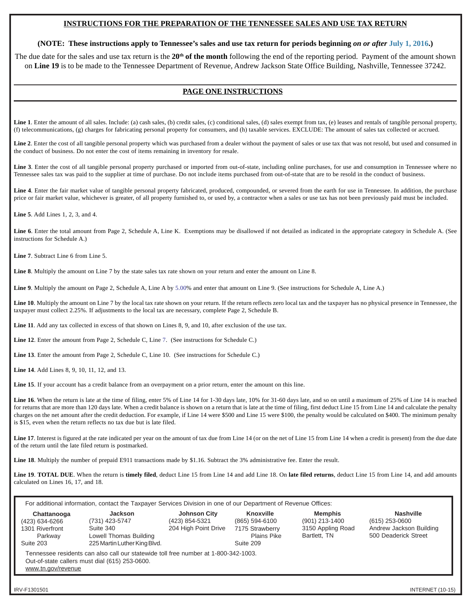## **INSTRUCTIONS FOR THE PREPARATION OF THE TENNESSEE SALES AND USE TAX RETURN**

### **(NOTE: These instructions apply to Tennessee's sales and use tax return for periods beginning** *on or after* **July 1, 2016.)**

The due date for the sales and use tax return is the 20<sup>th</sup> of the month following the end of the reporting period. Payment of the amount shown on **Line 19** is to be made to the Tennessee Department of Revenue, Andrew Jackson State Office Building, Nashville, Tennessee 37242.

# **PAGE ONE INSTRUCTIONS**

Line 1. Enter the amount of all sales. Include: (a) cash sales, (b) credit sales, (c) conditional sales, (d) sales exempt from tax, (e) leases and rentals of tangible personal property, (f) telecommunications, (g) charges for fabricating personal property for consumers, and (h) taxable services. EXCLUDE: The amount of sales tax collected or accrued.

**Line 2**. Enter the cost of all tangible personal property which was purchased from a dealer without the payment of sales or use tax that was not resold, but used and consumed in the conduct of business. Do not enter the cost of items remaining in inventory for resale.

Line 3. Enter the cost of all tangible personal property purchased or imported from out-of-state, including online purchases, for use and consumption in Tennessee where no Tennessee sales tax was paid to the supplier at time of purchase. Do not include items purchased from out-of-state that are to be resold in the conduct of business.

Line 4. Enter the fair market value of tangible personal property fabricated, produced, compounded, or severed from the earth for use in Tennessee. In addition, the purchase price or fair market value, whichever is greater, of all property furnished to, or used by, a contractor when a sales or use tax has not been previously paid must be included.

**Line 5**. Add Lines 1, 2, 3, and 4.

**Line 6**. Enter the total amount from Page 2, Schedule A, Line K. Exemptions may be disallowed if not detailed as indicated in the appropriate category in Schedule A. (See instructions for Schedule A.)

**Line 7**. Subtract Line 6 from Line 5.

**Line 8**. Multiply the amount on Line 7 by the state sales tax rate shown on your return and enter the amount on Line 8.

**Line 9**. Multiply the amount on Page 2, Schedule A, Line A by 5.00% and enter that amount on Line 9. (See instructions for Schedule A, Line A.)

Line 10. Multiply the amount on Line 7 by the local tax rate shown on your return. If the return reflects zero local tax and the taxpayer has no physical presence in Tennessee, the taxpayer must collect 2.25%. If adjustments to the local tax are necessary, complete Page 2, Schedule B.

Line 11. Add any tax collected in excess of that shown on Lines 8, 9, and 10, after exclusion of the use tax.

**Line 12**. Enter the amount from Page 2, Schedule C, Line 7. (See instructions for Schedule C.)

**Line 13**. Enter the amount from Page 2, Schedule C, Line 10. (See instructions for Schedule C.)

**Line 14**. Add Lines 8, 9, 10, 11, 12, and 13.

**Line 15**. If your account has a credit balance from an overpayment on a prior return, enter the amount on this line.

Line 16. When the return is late at the time of filing, enter 5% of Line 14 for 1-30 days late, 10% for 31-60 days late, and so on until a maximum of 25% of Line 14 is reached for returns that are more than 120 days late. When a credit balance is shown on a return that is late at the time of filing, first deduct Line 15 from Line 14 and calculate the penalty charges on the net amount after the credit deduction. For example, if Line 14 were \$500 and Line 15 were \$100, the penalty would be calculated on \$400. The minimum penalty is \$15, even when the return reflects no tax due but is late filed.

Line 17. Interest is figured at the rate indicated per year on the amount of tax due from Line 14 (or on the net of Line 15 from Line 14 when a credit is present) from the due date of the return until the late filed return is postmarked.

**Line 18**. Multiply the number of prepaid E911 transactions made by \$1.16. Subtract the 3% administrative fee. Enter the result.

**Line 19**. **TOTAL DUE**. When the return is **timely filed**, deduct Line 15 from Line 14 and add Line 18. On **late filed returns**, deduct Line 15 from Line 14, and add amounts calculated on Lines 16, 17, and 18.

| For additional information, contact the Taxpayer Services Division in one of our Department of Revenue Offices:                                             |                                                                                                         |                                                               |                                                                            |                                                                       |                                                                                         |
|-------------------------------------------------------------------------------------------------------------------------------------------------------------|---------------------------------------------------------------------------------------------------------|---------------------------------------------------------------|----------------------------------------------------------------------------|-----------------------------------------------------------------------|-----------------------------------------------------------------------------------------|
| Chattanooga<br>(423) 634-6266<br>1301 Riverfront<br>Parkway<br>Suite 203                                                                                    | <b>Jackson</b><br>(731) 423-5747<br>Suite 340<br>Lowell Thomas Building<br>225 Martin Luther King Blvd. | <b>Johnson City</b><br>(423) 854-5321<br>204 High Point Drive | Knoxville<br>(865) 594-6100<br>7175 Strawberry<br>Plains Pike<br>Suite 209 | <b>Memphis</b><br>(901) 213-1400<br>3150 Appling Road<br>Bartlett. TN | <b>Nashville</b><br>$(615)$ 253-0600<br>Andrew Jackson Building<br>500 Deaderick Street |
| Tennessee residents can also call our statewide toll free number at 1-800-342-1003.<br>Out-of-state callers must dial (615) 253-0600.<br>www.tn.gov/revenue |                                                                                                         |                                                               |                                                                            |                                                                       |                                                                                         |